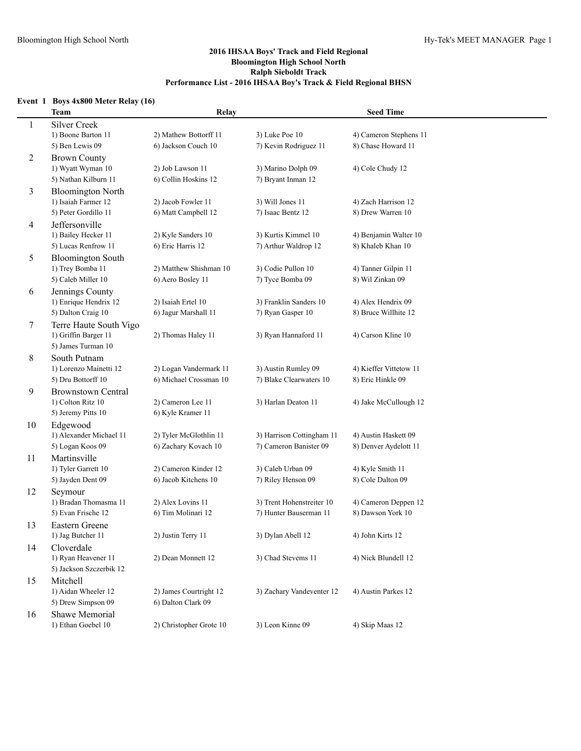# **Event 1 Boys 4x800 Meter Relay (16)**

|    | <b>Team</b>               | Relay                   |                           | <b>Seed Time</b>       |  |
|----|---------------------------|-------------------------|---------------------------|------------------------|--|
| 1  | <b>Silver Creek</b>       |                         |                           |                        |  |
|    | 1) Boone Barton 11        | 2) Mathew Bottorff 11   | 3) Luke Poe 10            | 4) Cameron Stephens 11 |  |
|    | 5) Ben Lewis 09           | 6) Jackson Couch 10     | 7) Kevin Rodriguez 11     | 8) Chase Howard 11     |  |
| 2  | <b>Brown County</b>       |                         |                           |                        |  |
|    | 1) Wyatt Wyman 10         | 2) Job Lawson 11        | 3) Marino Dolph 09        | 4) Cole Chudy 12       |  |
|    | 5) Nathan Kilburn 11      | 6) Collin Hoskins 12    | 7) Bryant Inman 12        |                        |  |
| 3  | <b>Bloomington North</b>  |                         |                           |                        |  |
|    | 1) Isaiah Farmer 12       | 2) Jacob Fowler 11      | 3) Will Jones 11          | 4) Zach Harrison 12    |  |
|    | 5) Peter Gordillo 11      | 6) Matt Campbell 12     | 7) Isaac Bentz 12         | 8) Drew Warren 10      |  |
| 4  | Jeffersonville            |                         |                           |                        |  |
|    | 1) Bailey Hecker 11       | 2) Kyle Sanders 10      | 3) Kurtis Kimmel 10       | 4) Benjamin Walter 10  |  |
|    | 5) Lucas Renfrow 11       | 6) Eric Harris 12       | 7) Arthur Waldrop 12      | 8) Khaleb Khan 10      |  |
| 5  | <b>Bloomington South</b>  |                         |                           |                        |  |
|    | 1) Trey Bomba 11          | 2) Matthew Shishman 10  | 3) Codie Pullon 10        | 4) Tanner Gilpin 11    |  |
|    | 5) Caleb Miller 10        | 6) Aero Bosley 11       | 7) Tyce Bomba 09          | 8) Wil Zinkan 09       |  |
| 6  | Jennings County           |                         |                           |                        |  |
|    | 1) Enrique Hendrix 12     | 2) Isaiah Ertel 10      | 3) Franklin Sanders 10    | 4) Alex Hendrix 09     |  |
|    | 5) Dalton Craig 10        | 6) Jagur Marshall 11    | 7) Ryan Gasper 10         | 8) Bruce Willhite 12   |  |
| 7  | Terre Haute South Vigo    |                         |                           |                        |  |
|    | 1) Griffin Barger 11      | 2) Thomas Haley 11      | 3) Ryan Hannaford 11      | 4) Carson Kline 10     |  |
|    | 5) James Turman 10        |                         |                           |                        |  |
| 8  | South Putnam              |                         |                           |                        |  |
|    | 1) Lorenzo Mainetti 12    | 2) Logan Vandermark 11  | 3) Austin Rumley 09       | 4) Kieffer Vittetow 11 |  |
|    | 5) Dru Bottorff 10        | 6) Michael Crossman 10  | 7) Blake Clearwaters 10   | 8) Eric Hinkle 09      |  |
| 9  | <b>Brownstown Central</b> |                         |                           |                        |  |
|    | 1) Colton Ritz 10         | 2) Cameron Lee 11       | 3) Harlan Deaton 11       | 4) Jake McCullough 12  |  |
|    | 5) Jeremy Pitts 10        | 6) Kyle Kramer 11       |                           |                        |  |
| 10 | Edgewood                  |                         |                           |                        |  |
|    | 1) Alexander Michael 11   | 2) Tyler McGlothlin 11  | 3) Harrison Cottingham 11 | 4) Austin Haskett 09   |  |
|    | 5) Logan Koos 09          | 6) Zachary Kovach 10    | 7) Cameron Banister 09    | 8) Denver Aydelott 11  |  |
| 11 | Martinsville              |                         |                           |                        |  |
|    | 1) Tyler Garrett 10       | 2) Cameron Kinder 12    | 3) Caleb Urban 09         | 4) Kyle Smith 11       |  |
|    | 5) Jayden Dent 09         | 6) Jacob Kitchens 10    | 7) Riley Henson 09        | 8) Cole Dalton 09      |  |
| 12 | Seymour                   |                         |                           |                        |  |
|    | 1) Bradan Thomasma 11     | 2) Alex Lovins 11       | 3) Trent Hohenstreiter 10 | 4) Cameron Deppen 12   |  |
|    | 5) Evan Frische 12        | 6) Tim Molinari 12      | 7) Hunter Bauserman 11    | 8) Dawson York 10      |  |
| 13 | Eastern Greene            |                         |                           |                        |  |
|    | 1) Jag Butcher 11         | 2) Justin Terry 11      | 3) Dylan Abell 12         | 4) John Kirts 12       |  |
| 14 | Cloverdale                |                         |                           |                        |  |
|    | 1) Ryan Heavener 11       | 2) Dean Monnett 12      | 3) Chad Stevems 11        | 4) Nick Blundell 12    |  |
|    | 5) Jackson Szczerbik 12   |                         |                           |                        |  |
| 15 | Mitchell                  |                         |                           |                        |  |
|    | 1) Aidan Wheeler 12       | 2) James Courtright 12  | 3) Zachary Vandeventer 12 | 4) Austin Parkes 12    |  |
|    | 5) Drew Simpson 09        | 6) Dalton Clark 09      |                           |                        |  |
| 16 | <b>Shawe Memorial</b>     |                         |                           |                        |  |
|    | 1) Ethan Goebel 10        | 2) Christopher Grote 10 | 3) Leon Kinne 09          | 4) Skip Maas 12        |  |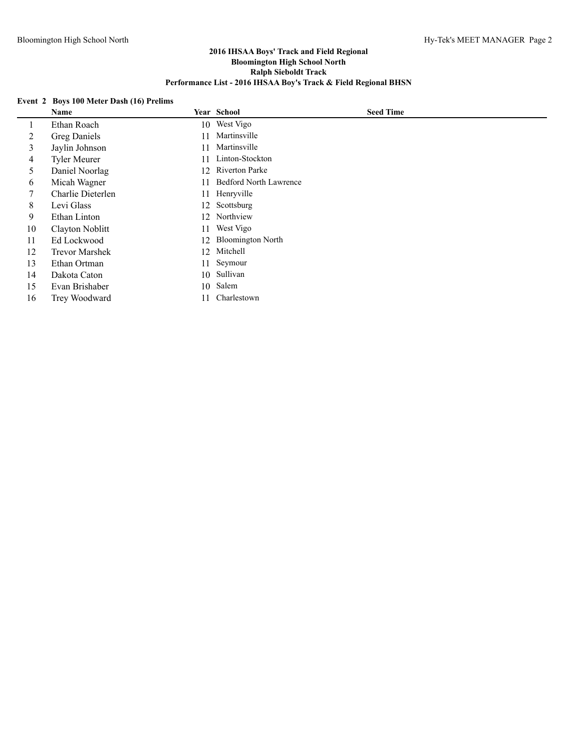# **Event 2 Boys 100 Meter Dash (16) Prelims**

|    | <b>Name</b>           |     | Year School                   | <b>Seed Time</b> |  |
|----|-----------------------|-----|-------------------------------|------------------|--|
|    | Ethan Roach           |     | 10 West Vigo                  |                  |  |
| 2  | Greg Daniels          | 11  | Martinsville                  |                  |  |
| 3  | Jaylin Johnson        | 11  | Martinsville                  |                  |  |
| 4  | <b>Tyler Meurer</b>   | 11  | Linton-Stockton               |                  |  |
| 5  | Daniel Noorlag        | 12. | <b>Riverton Parke</b>         |                  |  |
| 6  | Micah Wagner          | 11  | <b>Bedford North Lawrence</b> |                  |  |
|    | Charlie Dieterlen     |     | 11 Henryville                 |                  |  |
| 8  | Levi Glass            |     | 12 Scottsburg                 |                  |  |
| 9  | Ethan Linton          | 12. | Northview                     |                  |  |
| 10 | Clayton Noblitt       | 11  | West Vigo                     |                  |  |
| 11 | Ed Lockwood           | 12  | <b>Bloomington North</b>      |                  |  |
| 12 | <b>Trevor Marshek</b> | 12  | Mitchell                      |                  |  |
| 13 | Ethan Ortman          | 11  | Seymour                       |                  |  |
| 14 | Dakota Caton          | 10  | Sullivan                      |                  |  |
| 15 | Evan Brishaber        | 10  | Salem                         |                  |  |
| 16 | Trey Woodward         | 11  | Charlestown                   |                  |  |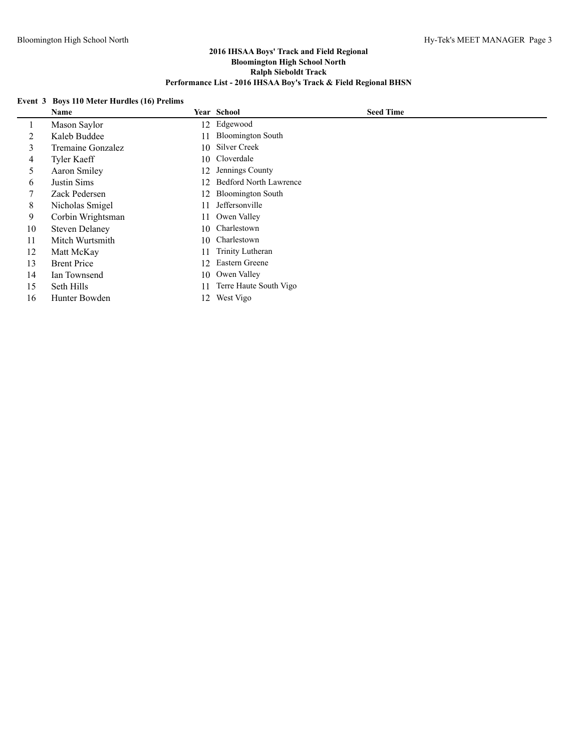# **Event 3 Boys 110 Meter Hurdles (16) Prelims**

|    | <b>Name</b>           |     | Year School                   | <b>Seed Time</b> |
|----|-----------------------|-----|-------------------------------|------------------|
|    | Mason Saylor          |     | 12 Edgewood                   |                  |
| 2  | Kaleb Buddee          | 11  | <b>Bloomington South</b>      |                  |
| 3  | Tremaine Gonzalez     | 10  | Silver Creek                  |                  |
| 4  | Tyler Kaeff           |     | 10 Cloverdale                 |                  |
| 5. | Aaron Smiley          | 12. | Jennings County               |                  |
| 6  | Justin Sims           | 12. | <b>Bedford North Lawrence</b> |                  |
|    | Zack Pedersen         | 12  | <b>Bloomington South</b>      |                  |
| 8  | Nicholas Smigel       | 11  | Jeffersonville                |                  |
| 9  | Corbin Wrightsman     | 11  | Owen Valley                   |                  |
| 10 | <b>Steven Delaney</b> | 10  | Charlestown                   |                  |
| 11 | Mitch Wurtsmith       | 10  | Charlestown                   |                  |
| 12 | Matt McKay            | 11  | Trinity Lutheran              |                  |
| 13 | <b>Brent Price</b>    | 12  | Eastern Greene                |                  |
| 14 | Ian Townsend          | 10  | Owen Valley                   |                  |
| 15 | Seth Hills            | 11  | Terre Haute South Vigo        |                  |
| 16 | Hunter Bowden         |     | 12 West Vigo                  |                  |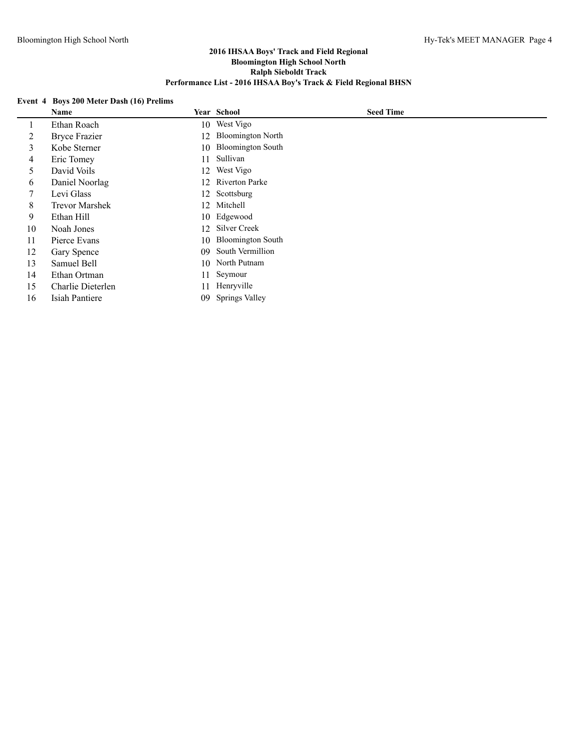# **Event 4 Boys 200 Meter Dash (16) Prelims**

|    | Name                  |     | Year School              | <b>Seed Time</b> |  |
|----|-----------------------|-----|--------------------------|------------------|--|
|    | Ethan Roach           | 10  | West Vigo                |                  |  |
| 2  | <b>Bryce Frazier</b>  | 12  | <b>Bloomington North</b> |                  |  |
| 3  | Kobe Sterner          | 10  | <b>Bloomington South</b> |                  |  |
| 4  | Eric Tomey            | 11  | Sullivan                 |                  |  |
| 5. | David Voils           | 12  | West Vigo                |                  |  |
| 6  | Daniel Noorlag        | 12. | <b>Riverton Parke</b>    |                  |  |
| 7  | Levi Glass            |     | 12 Scottsburg            |                  |  |
| 8  | <b>Trevor Marshek</b> | 12  | Mitchell                 |                  |  |
| 9  | Ethan Hill            |     | 10 Edgewood              |                  |  |
| 10 | Noah Jones            | 12  | <b>Silver Creek</b>      |                  |  |
| 11 | Pierce Evans          | 10  | <b>Bloomington South</b> |                  |  |
| 12 | Gary Spence           | 09  | South Vermillion         |                  |  |
| 13 | Samuel Bell           | 10  | North Putnam             |                  |  |
| 14 | Ethan Ortman          | 11  | Seymour                  |                  |  |
| 15 | Charlie Dieterlen     | 11  | Henryville               |                  |  |
| 16 | Isiah Pantiere        | 09  | <b>Springs Valley</b>    |                  |  |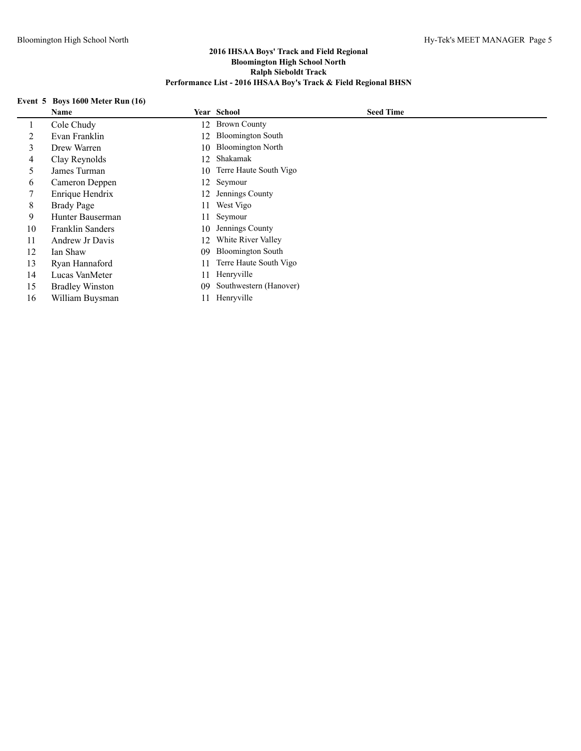# **Event 5 Boys 1600 Meter Run (16)**

|    | Name                    |     | Year School              | <b>Seed Time</b> |
|----|-------------------------|-----|--------------------------|------------------|
| 1  | Cole Chudy              | 12  | <b>Brown County</b>      |                  |
| 2  | Evan Franklin           | 12  | <b>Bloomington South</b> |                  |
| 3  | Drew Warren             | 10  | <b>Bloomington North</b> |                  |
| 4  | Clay Reynolds           | 12. | Shakamak                 |                  |
|    | James Turman            | 10  | Terre Haute South Vigo   |                  |
| 6  | Cameron Deppen          | 12  | Seymour                  |                  |
|    | Enrique Hendrix         | 12  | Jennings County          |                  |
| 8  | Brady Page              | 11  | West Vigo                |                  |
| 9  | Hunter Bauserman        | 11  | Seymour                  |                  |
| 10 | <b>Franklin Sanders</b> | 10  | Jennings County          |                  |
| 11 | Andrew Jr Davis         | 12  | White River Valley       |                  |
| 12 | Ian Shaw                | 09  | <b>Bloomington South</b> |                  |
| 13 | Ryan Hannaford          | 11  | Terre Haute South Vigo   |                  |
| 14 | Lucas VanMeter          | 11  | Henryville               |                  |
| 15 | <b>Bradley Winston</b>  | 09  | Southwestern (Hanover)   |                  |
| 16 | William Buysman         | 11  | Henryville               |                  |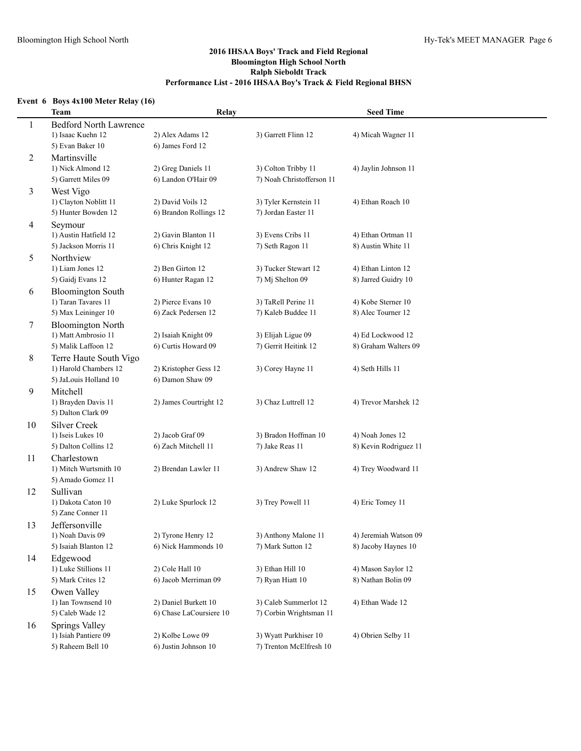# **Event 6 Boys 4x100 Meter Relay (16)**

|    | <b>Team</b>                               | Relay                   |                           | <b>Seed Time</b>      |
|----|-------------------------------------------|-------------------------|---------------------------|-----------------------|
| 1  | <b>Bedford North Lawrence</b>             |                         |                           |                       |
|    | 1) Isaac Kuehn 12                         | 2) Alex Adams 12        | 3) Garrett Flinn 12       | 4) Micah Wagner 11    |
|    | 5) Evan Baker 10                          | 6) James Ford 12        |                           |                       |
| 2  | Martinsville                              |                         |                           |                       |
|    | 1) Nick Almond 12                         | 2) Greg Daniels 11      | 3) Colton Tribby 11       | 4) Jaylin Johnson 11  |
|    | 5) Garrett Miles 09                       | 6) Landon O'Hair 09     | 7) Noah Christofferson 11 |                       |
| 3  | West Vigo                                 |                         |                           |                       |
|    | 1) Clayton Noblitt 11                     | 2) David Voils 12       | 3) Tyler Kernstein 11     | 4) Ethan Roach 10     |
|    | 5) Hunter Bowden 12                       | 6) Brandon Rollings 12  | 7) Jordan Easter 11       |                       |
| 4  | Seymour                                   |                         |                           |                       |
|    | 1) Austin Hatfield 12                     | 2) Gavin Blanton 11     | 3) Evens Cribs 11         | 4) Ethan Ortman 11    |
|    | 5) Jackson Morris 11                      | 6) Chris Knight 12      | 7) Seth Ragon 11          | 8) Austin White 11    |
| 5  | Northview                                 |                         |                           |                       |
|    | 1) Liam Jones 12                          | 2) Ben Girton 12        | 3) Tucker Stewart 12      | 4) Ethan Linton 12    |
|    | 5) Gaidj Evans 12                         | 6) Hunter Ragan 12      | 7) Mj Shelton 09          | 8) Jarred Guidry 10   |
| 6  | <b>Bloomington South</b>                  |                         |                           |                       |
|    | 1) Taran Tavares 11                       | 2) Pierce Evans 10      | 3) TaRell Perine 11       | 4) Kobe Sterner 10    |
|    | 5) Max Leininger 10                       | 6) Zack Pedersen 12     | 7) Kaleb Buddee 11        | 8) Alec Tourner 12    |
| 7  | <b>Bloomington North</b>                  |                         |                           |                       |
|    | 1) Matt Ambrosio 11                       | 2) Isaiah Knight 09     | 3) Elijah Ligue 09        | 4) Ed Lockwood 12     |
|    | 5) Malik Laffoon 12                       | 6) Curtis Howard 09     | 7) Gerrit Heitink 12      | 8) Graham Walters 09  |
| 8  | Terre Haute South Vigo                    |                         |                           |                       |
|    | 1) Harold Chambers 12                     | 2) Kristopher Gess 12   | 3) Corey Hayne 11         | 4) Seth Hills 11      |
|    | 5) JaLouis Holland 10                     | 6) Damon Shaw 09        |                           |                       |
| 9  | Mitchell                                  |                         |                           |                       |
|    | 1) Brayden Davis 11                       | 2) James Courtright 12  | 3) Chaz Luttrell 12       | 4) Trevor Marshek 12  |
|    | 5) Dalton Clark 09                        |                         |                           |                       |
| 10 | <b>Silver Creek</b>                       |                         |                           |                       |
|    | 1) Iseis Lukes 10<br>5) Dalton Collins 12 | 2) Jacob Graf 09        | 3) Bradon Hoffman 10      | 4) Noah Jones 12      |
|    |                                           | 6) Zach Mitchell 11     | 7) Jake Reas 11           | 8) Kevin Rodriguez 11 |
| 11 | Charlestown<br>1) Mitch Wurtsmith 10      | 2) Brendan Lawler 11    | 3) Andrew Shaw 12         | 4) Trey Woodward 11   |
|    | 5) Amado Gomez 11                         |                         |                           |                       |
| 12 | Sullivan                                  |                         |                           |                       |
|    | 1) Dakota Caton 10                        | 2) Luke Spurlock 12     | 3) Trey Powell 11         | 4) Eric Tomey 11      |
|    | 5) Zane Conner 11                         |                         |                           |                       |
| 13 | Jeffersonville                            |                         |                           |                       |
|    | 1) Noah Davis 09                          | 2) Tyrone Henry 12      | 3) Anthony Malone 11      | 4) Jeremiah Watson 09 |
|    | 5) Isaiah Blanton 12                      | 6) Nick Hammonds 10     | 7) Mark Sutton 12         | 8) Jacoby Haynes 10   |
| 14 | Edgewood                                  |                         |                           |                       |
|    | 1) Luke Stillions 11                      | 2) Cole Hall 10         | 3) Ethan Hill 10          | 4) Mason Saylor 12    |
|    | 5) Mark Crites 12                         | 6) Jacob Merriman 09    | 7) Ryan Hiatt 10          | 8) Nathan Bolin 09    |
| 15 | Owen Valley                               |                         |                           |                       |
|    | 1) Ian Townsend 10                        | 2) Daniel Burkett 10    | 3) Caleb Summerlot 12     | 4) Ethan Wade 12      |
|    | 5) Caleb Wade 12                          | 6) Chase LaCoursiere 10 | 7) Corbin Wrightsman 11   |                       |
| 16 | Springs Valley                            |                         |                           |                       |
|    | 1) Isiah Pantiere 09                      | 2) Kolbe Lowe 09        | 3) Wyatt Purkhiser 10     | 4) Obrien Selby 11    |
|    | 5) Raheem Bell 10                         | 6) Justin Johnson 10    | 7) Trenton McElfresh 10   |                       |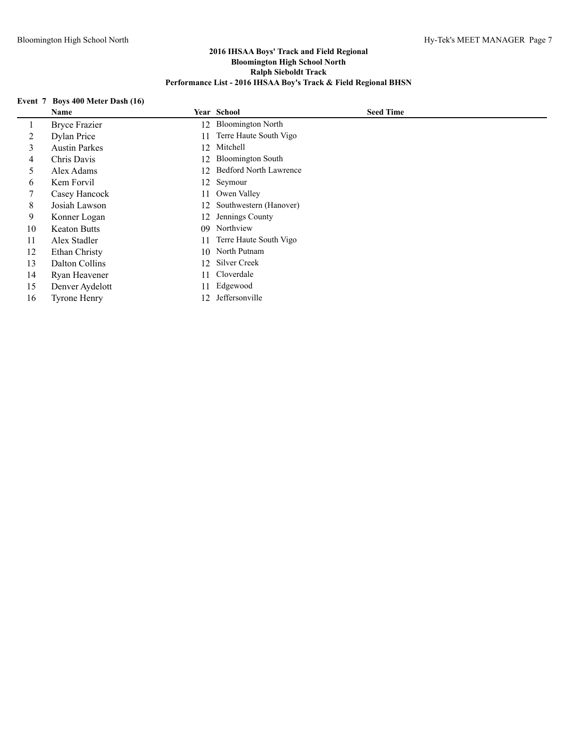# **Event 7 Boys 400 Meter Dash (16)**

|    | Name                 |    | Year School                   | <b>Seed Time</b> |
|----|----------------------|----|-------------------------------|------------------|
|    | <b>Bryce Frazier</b> | 12 | <b>Bloomington North</b>      |                  |
| 2  | Dylan Price          | 11 | Terre Haute South Vigo        |                  |
| 3  | <b>Austin Parkes</b> | 12 | Mitchell                      |                  |
| 4  | Chris Davis          |    | 12 Bloomington South          |                  |
| 5  | Alex Adams           | 12 | <b>Bedford North Lawrence</b> |                  |
| 6  | Kem Forvil           |    | 12 Seymour                    |                  |
|    | Casey Hancock        | 11 | Owen Valley                   |                  |
| 8  | Josiah Lawson        | 12 | Southwestern (Hanover)        |                  |
| 9  | Konner Logan         | 12 | Jennings County               |                  |
| 10 | <b>Keaton Butts</b>  | 09 | Northview                     |                  |
| 11 | Alex Stadler         |    | Terre Haute South Vigo        |                  |
| 12 | Ethan Christy        | 10 | North Putnam                  |                  |
| 13 | Dalton Collins       | 12 | Silver Creek                  |                  |
| 14 | Ryan Heavener        | 11 | Cloverdale                    |                  |
| 15 | Denver Aydelott      | 11 | Edgewood                      |                  |
| 16 | <b>Tyrone Henry</b>  | 12 | Jeffersonville                |                  |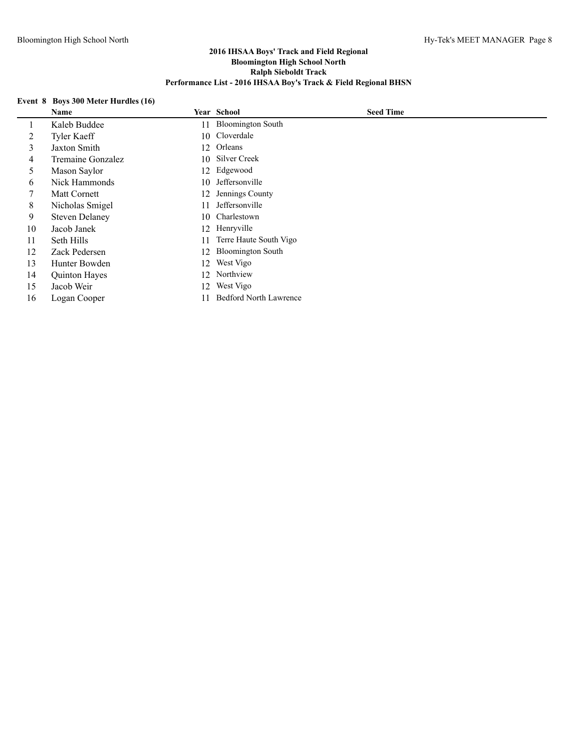# **Event 8 Boys 300 Meter Hurdles (16)**

|    | Name                  |     | Year School                   | <b>Seed Time</b> |
|----|-----------------------|-----|-------------------------------|------------------|
|    | Kaleb Buddee          | 11  | <b>Bloomington South</b>      |                  |
| 2  | <b>Tyler Kaeff</b>    |     | 10 Cloverdale                 |                  |
| 3  | Jaxton Smith          | 12  | Orleans                       |                  |
| 4  | Tremaine Gonzalez     | 10  | Silver Creek                  |                  |
| 5  | Mason Saylor          |     | 12 Edgewood                   |                  |
| 6  | Nick Hammonds         | 10  | Jeffersonville                |                  |
| 7  | Matt Cornett          | 12. | Jennings County               |                  |
| 8  | Nicholas Smigel       | 11  | Jeffersonville                |                  |
| 9  | <b>Steven Delaney</b> | 10  | Charlestown                   |                  |
| 10 | Jacob Janek           |     | 12 Henryville                 |                  |
| 11 | Seth Hills            | 11  | Terre Haute South Vigo        |                  |
| 12 | Zack Pedersen         | 12. | <b>Bloomington South</b>      |                  |
| 13 | Hunter Bowden         | 12  | West Vigo                     |                  |
| 14 | <b>Quinton Hayes</b>  |     | 12 Northview                  |                  |
| 15 | Jacob Weir            | 12  | West Vigo                     |                  |
| 16 | Logan Cooper          |     | <b>Bedford North Lawrence</b> |                  |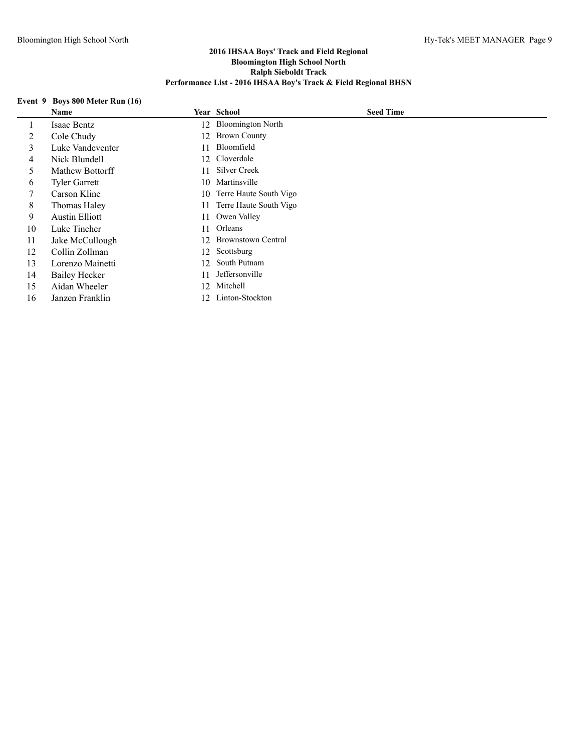# **Event 9 Boys 800 Meter Run (16)**

|    | Name                  |     | Year School               | <b>Seed Time</b> |
|----|-----------------------|-----|---------------------------|------------------|
|    | Isaac Bentz           | 12  | <b>Bloomington North</b>  |                  |
| 2  | Cole Chudy            | 12. | <b>Brown County</b>       |                  |
| 3  | Luke Vandeventer      | 11  | Bloomfield                |                  |
| 4  | Nick Blundell         |     | 12 Cloverdale             |                  |
| 5. | Mathew Bottorff       | 11  | Silver Creek              |                  |
| 6  | <b>Tyler Garrett</b>  | 10  | Martinsville              |                  |
|    | Carson Kline          | 10  | Terre Haute South Vigo    |                  |
| 8  | Thomas Haley          | 11. | Terre Haute South Vigo    |                  |
| 9  | <b>Austin Elliott</b> | 11  | Owen Valley               |                  |
| 10 | Luke Tincher          | 11  | Orleans                   |                  |
| 11 | Jake McCullough       | 12. | <b>Brownstown Central</b> |                  |
| 12 | Collin Zollman        | 12  | Scottsburg                |                  |
| 13 | Lorenzo Mainetti      | 12  | South Putnam              |                  |
| 14 | Bailey Hecker         | 11  | Jeffersonville            |                  |
| 15 | Aidan Wheeler         | 12. | Mitchell                  |                  |
| 16 | Janzen Franklin       | 12. | Linton-Stockton           |                  |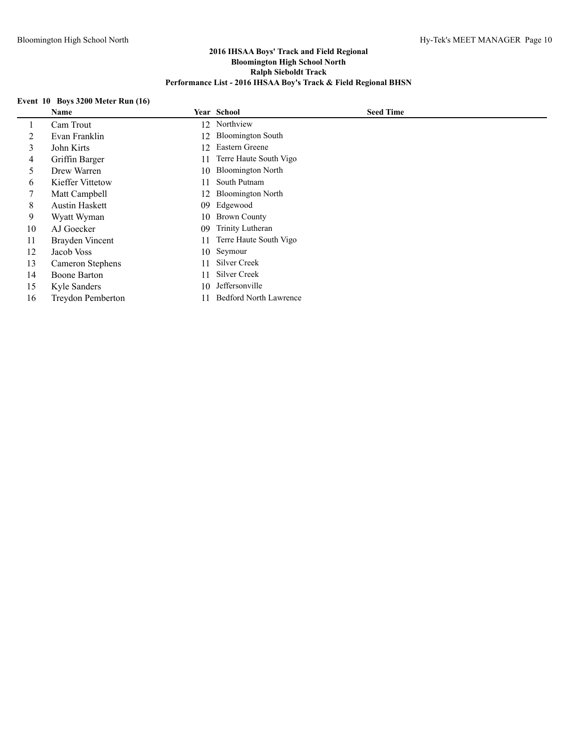# **Event 10 Boys 3200 Meter Run (16)**

|    | Name                     |     | Year School                   | <b>Seed Time</b> |
|----|--------------------------|-----|-------------------------------|------------------|
|    | Cam Trout                | 12. | Northview                     |                  |
| 2  | Evan Franklin            | 12  | <b>Bloomington South</b>      |                  |
| 3  | John Kirts               | 12  | Eastern Greene                |                  |
| 4  | Griffin Barger           | 11  | Terre Haute South Vigo        |                  |
| 5  | Drew Warren              | 10  | <b>Bloomington North</b>      |                  |
| 6  | Kieffer Vittetow         | 11  | South Putnam                  |                  |
| 7  | Matt Campbell            | 12. | <b>Bloomington North</b>      |                  |
| 8  | <b>Austin Haskett</b>    | 09  | Edgewood                      |                  |
| 9  | Wyatt Wyman              | 10  | <b>Brown County</b>           |                  |
| 10 | AJ Goecker               | 09  | Trinity Lutheran              |                  |
| 11 | Brayden Vincent          | 11  | Terre Haute South Vigo        |                  |
| 12 | Jacob Voss               |     | 10 Seymour                    |                  |
| 13 | Cameron Stephens         | 11. | Silver Creek                  |                  |
| 14 | <b>Boone Barton</b>      | 11  | Silver Creek                  |                  |
| 15 | Kyle Sanders             | 10  | Jeffersonville                |                  |
| 16 | <b>Treydon Pemberton</b> |     | <b>Bedford North Lawrence</b> |                  |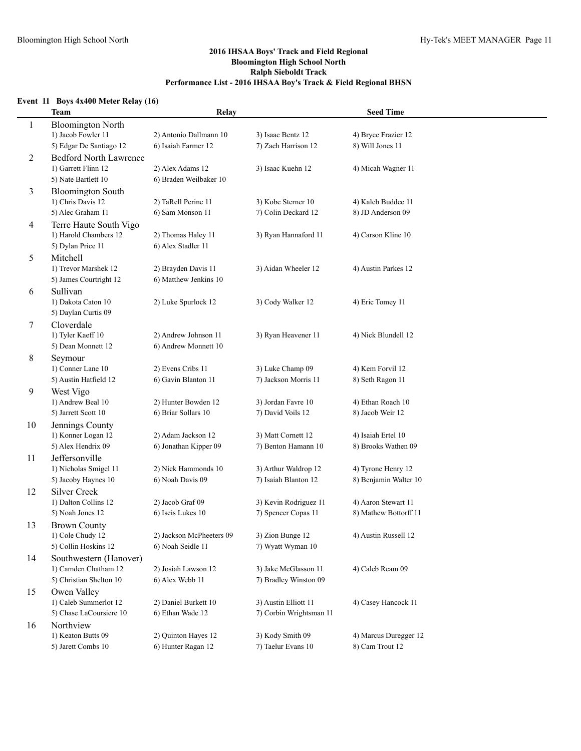# **Event 11 Boys 4x400 Meter Relay (16)**

|    | <b>Team</b>                                | Relay                                    |                                          | <b>Seed Time</b>                     |
|----|--------------------------------------------|------------------------------------------|------------------------------------------|--------------------------------------|
| 1  | <b>Bloomington North</b>                   |                                          |                                          |                                      |
|    | 1) Jacob Fowler 11                         | 2) Antonio Dallmann 10                   | 3) Isaac Bentz 12                        | 4) Bryce Frazier 12                  |
|    | 5) Edgar De Santiago 12                    | 6) Isaiah Farmer 12                      | 7) Zach Harrison 12                      | 8) Will Jones 11                     |
| 2  | <b>Bedford North Lawrence</b>              |                                          |                                          |                                      |
|    | 1) Garrett Flinn 12                        | 2) Alex Adams 12                         | 3) Isaac Kuehn 12                        | 4) Micah Wagner 11                   |
|    | 5) Nate Bartlett 10                        | 6) Braden Weilbaker 10                   |                                          |                                      |
| 3  | <b>Bloomington South</b>                   |                                          |                                          |                                      |
|    | 1) Chris Davis 12                          | 2) TaRell Perine 11                      | 3) Kobe Sterner 10                       | 4) Kaleb Buddee 11                   |
|    | 5) Alec Graham 11                          | 6) Sam Monson 11                         | 7) Colin Deckard 12                      | 8) JD Anderson 09                    |
| 4  | Terre Haute South Vigo                     |                                          |                                          |                                      |
|    | 1) Harold Chambers 12                      | 2) Thomas Haley 11                       | 3) Ryan Hannaford 11                     | 4) Carson Kline 10                   |
|    | 5) Dylan Price 11                          | 6) Alex Stadler 11                       |                                          |                                      |
| 5  | Mitchell                                   |                                          |                                          |                                      |
|    | 1) Trevor Marshek 12                       | 2) Brayden Davis 11                      | 3) Aidan Wheeler 12                      | 4) Austin Parkes 12                  |
|    | 5) James Courtright 12                     | 6) Matthew Jenkins 10                    |                                          |                                      |
| 6  | Sullivan                                   |                                          |                                          |                                      |
|    | 1) Dakota Caton 10                         | 2) Luke Spurlock 12                      | 3) Cody Walker 12                        | 4) Eric Tomey 11                     |
|    | 5) Daylan Curtis 09                        |                                          |                                          |                                      |
| 7  | Cloverdale                                 |                                          |                                          |                                      |
|    | 1) Tyler Kaeff 10                          | 2) Andrew Johnson 11                     | 3) Ryan Heavener 11                      | 4) Nick Blundell 12                  |
|    | 5) Dean Monnett 12                         | 6) Andrew Monnett 10                     |                                          |                                      |
| 8  | Seymour                                    |                                          |                                          |                                      |
|    | 1) Conner Lane 10<br>5) Austin Hatfield 12 | 2) Evens Cribs 11<br>6) Gavin Blanton 11 | 3) Luke Champ 09<br>7) Jackson Morris 11 | 4) Kem Forvil 12<br>8) Seth Ragon 11 |
| 9  |                                            |                                          |                                          |                                      |
|    | West Vigo<br>1) Andrew Beal 10             | 2) Hunter Bowden 12                      | 3) Jordan Favre 10                       | 4) Ethan Roach 10                    |
|    | 5) Jarrett Scott 10                        | 6) Briar Sollars 10                      | 7) David Voils 12                        | 8) Jacob Weir 12                     |
| 10 | Jennings County                            |                                          |                                          |                                      |
|    | 1) Konner Logan 12                         | 2) Adam Jackson 12                       | 3) Matt Cornett 12                       | 4) Isaiah Ertel 10                   |
|    | 5) Alex Hendrix 09                         | 6) Jonathan Kipper 09                    | 7) Benton Hamann 10                      | 8) Brooks Wathen 09                  |
| 11 | Jeffersonville                             |                                          |                                          |                                      |
|    | 1) Nicholas Smigel 11                      | 2) Nick Hammonds 10                      | 3) Arthur Waldrop 12                     | 4) Tyrone Henry 12                   |
|    | 5) Jacoby Haynes 10                        | 6) Noah Davis 09                         | 7) Isaiah Blanton 12                     | 8) Benjamin Walter 10                |
| 12 | <b>Silver Creek</b>                        |                                          |                                          |                                      |
|    | 1) Dalton Collins 12                       | 2) Jacob Graf 09                         | 3) Kevin Rodriguez 11                    | 4) Aaron Stewart 11                  |
|    | 5) Noah Jones 12                           | 6) Iseis Lukes 10                        | 7) Spencer Copas 11                      | 8) Mathew Bottorff 11                |
| 13 | <b>Brown County</b>                        |                                          |                                          |                                      |
|    | 1) Cole Chudy 12                           | 2) Jackson McPheeters 09                 | 3) Zion Bunge 12                         | 4) Austin Russell 12                 |
|    | 5) Collin Hoskins 12                       | 6) Noah Seidle 11                        | 7) Wyatt Wyman 10                        |                                      |
| 14 | Southwestern (Hanover)                     |                                          |                                          |                                      |
|    | 1) Camden Chatham 12                       | 2) Josiah Lawson 12                      | 3) Jake McGlasson 11                     | 4) Caleb Ream 09                     |
|    | 5) Christian Shelton 10                    | 6) Alex Webb 11                          | 7) Bradley Winston 09                    |                                      |
| 15 | Owen Valley                                |                                          |                                          |                                      |
|    | 1) Caleb Summerlot 12                      | 2) Daniel Burkett 10                     | 3) Austin Elliott 11                     | 4) Casey Hancock 11                  |
|    | 5) Chase LaCoursiere 10                    | 6) Ethan Wade 12                         | 7) Corbin Wrightsman 11                  |                                      |
| 16 | Northview                                  |                                          |                                          |                                      |
|    | 1) Keaton Butts 09                         | 2) Quinton Hayes 12                      | 3) Kody Smith 09                         | 4) Marcus Duregger 12                |
|    | 5) Jarett Combs 10                         | 6) Hunter Ragan 12                       | 7) Taelur Evans 10                       | 8) Cam Trout 12                      |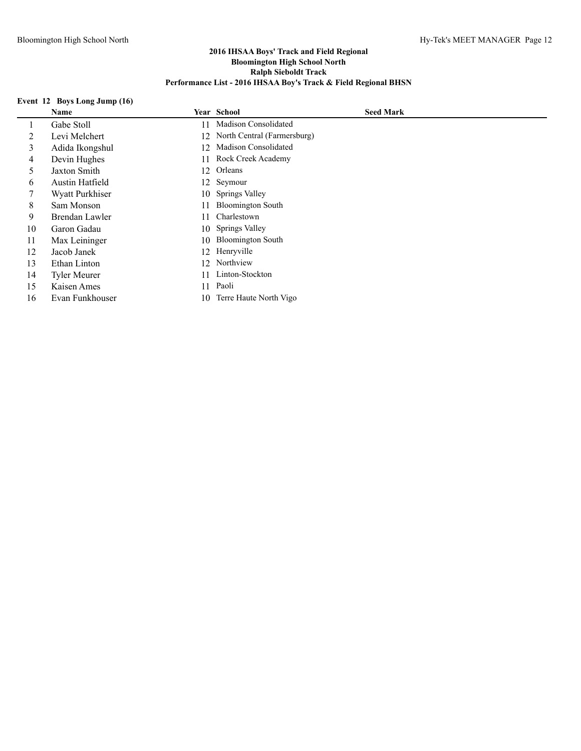# **Event 12 Boys Long Jump (16)**

|    | Name                |     | Year School                 | <b>Seed Mark</b> |
|----|---------------------|-----|-----------------------------|------------------|
| 1  | Gabe Stoll          | 11  | <b>Madison Consolidated</b> |                  |
| 2  | Levi Melchert       | 12. | North Central (Farmersburg) |                  |
| 3  | Adida Ikongshul     | 12. | Madison Consolidated        |                  |
| 4  | Devin Hughes        | 11  | Rock Creek Academy          |                  |
| 5  | Jaxton Smith        | 12  | Orleans                     |                  |
| 6  | Austin Hatfield     |     | 12 Seymour                  |                  |
|    | Wyatt Purkhiser     | 10  | <b>Springs Valley</b>       |                  |
| 8  | Sam Monson          | 11  | <b>Bloomington South</b>    |                  |
| 9  | Brendan Lawler      | 11  | Charlestown                 |                  |
| 10 | Garon Gadau         | 10  | <b>Springs Valley</b>       |                  |
| 11 | Max Leininger       | 10  | <b>Bloomington South</b>    |                  |
| 12 | Jacob Janek         |     | 12 Henryville               |                  |
| 13 | Ethan Linton        | 12  | Northview                   |                  |
| 14 | <b>Tyler Meurer</b> | 11  | Linton-Stockton             |                  |
| 15 | Kaisen Ames         | 11  | Paoli                       |                  |
| 16 | Evan Funkhouser     | 10  | Terre Haute North Vigo      |                  |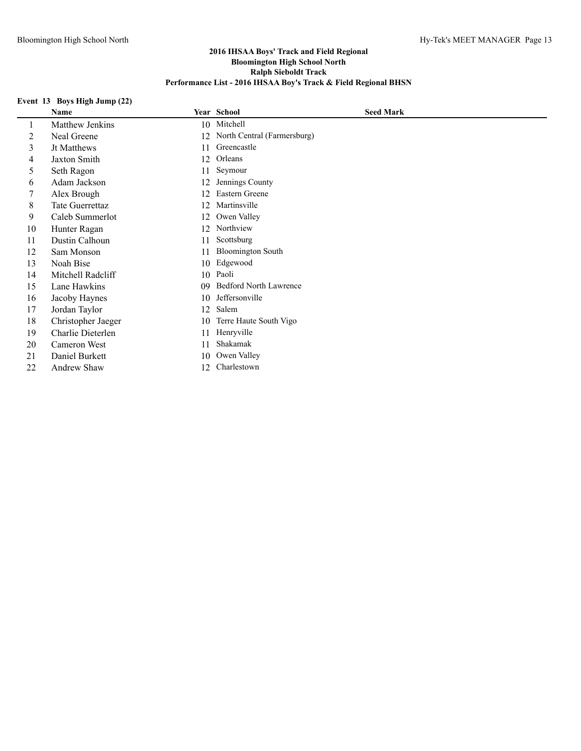# **Event 13 Boys High Jump (22)**

|    | Name                   |    | Year School                   | <b>Seed Mark</b> |
|----|------------------------|----|-------------------------------|------------------|
| 1  | Matthew Jenkins        | 10 | Mitchell                      |                  |
| 2  | Neal Greene            | 12 | North Central (Farmersburg)   |                  |
| 3  | Jt Matthews            | 11 | Greencastle                   |                  |
| 4  | <b>Jaxton Smith</b>    | 12 | Orleans                       |                  |
| 5  | Seth Ragon             | 11 | Seymour                       |                  |
| 6  | Adam Jackson           | 12 | Jennings County               |                  |
| 7  | Alex Brough            | 12 | Eastern Greene                |                  |
| 8  | <b>Tate Guerrettaz</b> | 12 | Martinsville                  |                  |
| 9  | Caleb Summerlot        | 12 | Owen Valley                   |                  |
| 10 | Hunter Ragan           | 12 | Northview                     |                  |
| 11 | Dustin Calhoun         | 11 | Scottsburg                    |                  |
| 12 | Sam Monson             | 11 | <b>Bloomington South</b>      |                  |
| 13 | Noah Bise              | 10 | Edgewood                      |                  |
| 14 | Mitchell Radcliff      | 10 | Paoli                         |                  |
| 15 | Lane Hawkins           | 09 | <b>Bedford North Lawrence</b> |                  |
| 16 | Jacoby Haynes          | 10 | Jeffersonville                |                  |
| 17 | Jordan Taylor          | 12 | Salem                         |                  |
| 18 | Christopher Jaeger     | 10 | Terre Haute South Vigo        |                  |
| 19 | Charlie Dieterlen      | 11 | Henryville                    |                  |
| 20 | Cameron West           | 11 | Shakamak                      |                  |
| 21 | Daniel Burkett         | 10 | Owen Valley                   |                  |
| 22 | Andrew Shaw            | 12 | Charlestown                   |                  |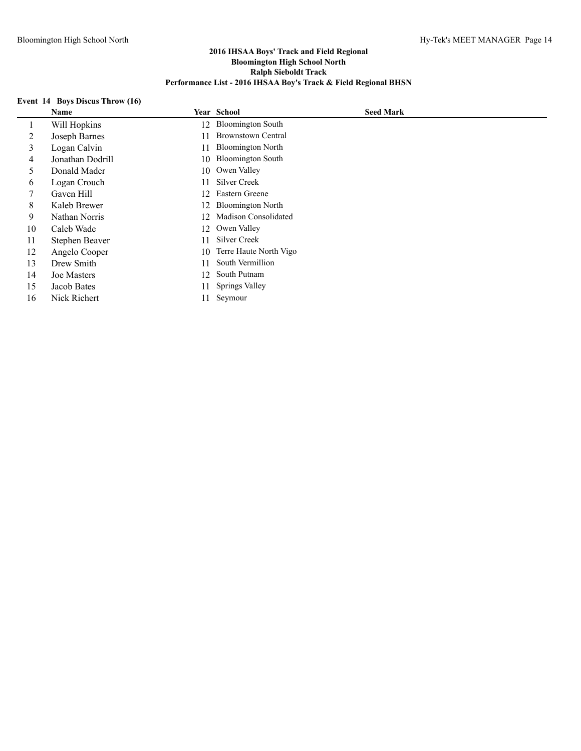# **Event 14 Boys Discus Throw (16)**

|    | Name             |    | Year School               | <b>Seed Mark</b> |
|----|------------------|----|---------------------------|------------------|
|    | Will Hopkins     | 12 | <b>Bloomington South</b>  |                  |
| 2  | Joseph Barnes    | 11 | <b>Brownstown Central</b> |                  |
| 3  | Logan Calvin     | 11 | <b>Bloomington North</b>  |                  |
| 4  | Jonathan Dodrill | 10 | <b>Bloomington South</b>  |                  |
| 5  | Donald Mader     |    | 10 Owen Valley            |                  |
| 6  | Logan Crouch     | 11 | Silver Creek              |                  |
| 7  | Gaven Hill       | 12 | Eastern Greene            |                  |
| 8  | Kaleb Brewer     | 12 | <b>Bloomington North</b>  |                  |
| 9  | Nathan Norris    | 12 | Madison Consolidated      |                  |
| 10 | Caleb Wade       | 12 | Owen Valley               |                  |
| 11 | Stephen Beaver   | 11 | Silver Creek              |                  |
| 12 | Angelo Cooper    | 10 | Terre Haute North Vigo    |                  |
| 13 | Drew Smith       | 11 | South Vermillion          |                  |
| 14 | Joe Masters      | 12 | South Putnam              |                  |
| 15 | Jacob Bates      | 11 | Springs Valley            |                  |
| 16 | Nick Richert     | 11 | Seymour                   |                  |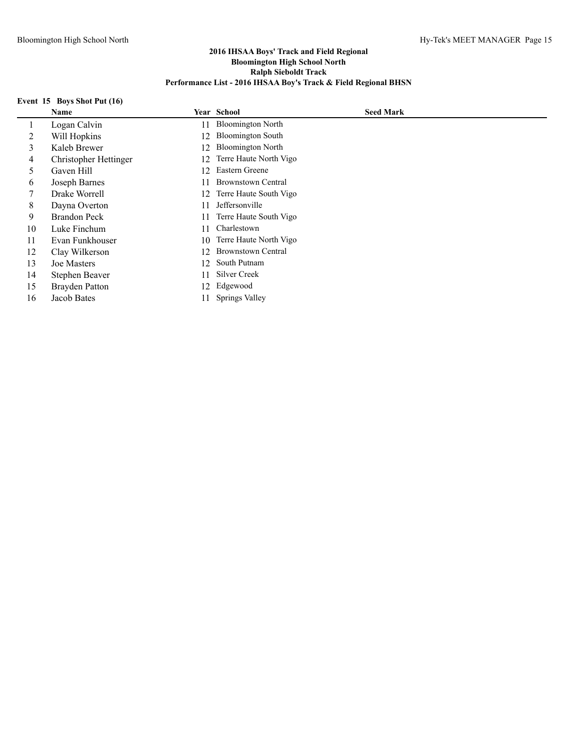# **Event 15 Boys Shot Put (16)**

|    | Name                  |    | <b>Year School</b>        | <b>Seed Mark</b> |
|----|-----------------------|----|---------------------------|------------------|
|    | Logan Calvin          | 11 | <b>Bloomington North</b>  |                  |
| 2  | Will Hopkins          | 12 | <b>Bloomington South</b>  |                  |
| 3  | Kaleb Brewer          | 12 | <b>Bloomington North</b>  |                  |
| 4  | Christopher Hettinger | 12 | Terre Haute North Vigo    |                  |
| 5  | Gaven Hill            | 12 | Eastern Greene            |                  |
| 6  | Joseph Barnes         | 11 | <b>Brownstown Central</b> |                  |
|    | Drake Worrell         |    | 12 Terre Haute South Vigo |                  |
| 8  | Dayna Overton         | 11 | Jeffersonville            |                  |
| 9  | <b>Brandon Peck</b>   | 11 | Terre Haute South Vigo    |                  |
| 10 | Luke Finchum          | 11 | Charlestown               |                  |
| 11 | Evan Funkhouser       | 10 | Terre Haute North Vigo    |                  |
| 12 | Clay Wilkerson        | 12 | <b>Brownstown Central</b> |                  |
| 13 | Joe Masters           | 12 | South Putnam              |                  |
| 14 | Stephen Beaver        | 11 | Silver Creek              |                  |
| 15 | Brayden Patton        | 12 | Edgewood                  |                  |
| 16 | Jacob Bates           | 11 | <b>Springs Valley</b>     |                  |